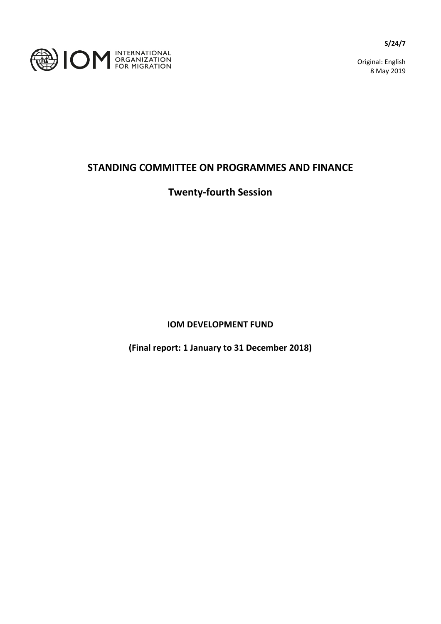

Original: English 8 May 2019

## **STANDING COMMITTEE ON PROGRAMMES AND FINANCE**

## **Twenty-fourth Session**

**IOM DEVELOPMENT FUND**

**(Final report: 1 January to 31 December 2018)**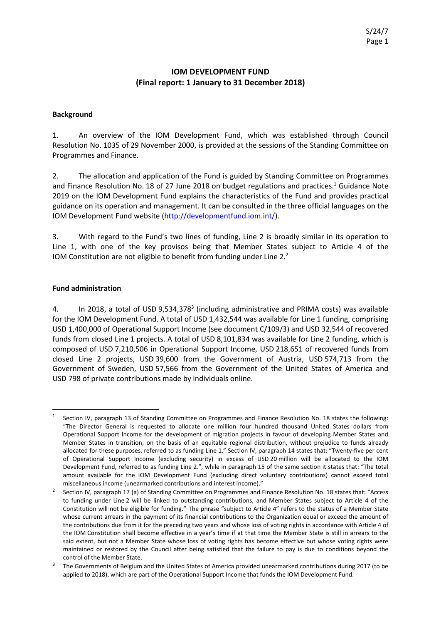## **IOM DEVELOPMENT FUND (Final report: 1 January to 31 December 2018)**

#### **Background**

1. An overview of the IOM Development Fund, which was established through Council Resolution No. 1035 of 29 November 2000, is provided at the sessions of the Standing Committee on Programmes and Finance.

2. The allocation and application of the Fund is guided by Standing Committee on Programmes and Finance Resolution No. 18 of 27 June 2018 on budget regulations and practices.<sup>1</sup> Guidance Note 2019 on the IOM Development Fund explains the characteristics of the Fund and provides practical guidance on its operation and management. It can be consulted in the three official languages on the IOM Development Fund website (http://developmentfund.iom.int/).

3. With regard to the Fund's two lines of funding, Line 2 is broadly similar in its operation to Line 1, with one of the key provisos being that Member States subject to Article 4 of the IOM Constitution are not eligible to benefit from funding under Line 2.2

### **Fund administration**

4. In 2018, a total of USD 9,534,378<sup>3</sup> (including administrative and PRIMA costs) was available for the IOM Development Fund. A total of USD 1,432,544 was available for Line 1 funding, comprising USD 1,400,000 of Operational Support Income (see document C/109/3) and USD 32,544 of recovered funds from closed Line 1 projects. A total of USD 8,101,834 was available for Line 2 funding, which is composed of USD 7,210,506 in Operational Support Income, USD 218,651 of recovered funds from closed Line 2 projects, USD 39,600 from the Government of Austria, USD 574,713 from the Government of Sweden, USD 57,566 from the Government of the United States of America and USD 798 of private contributions made by individuals online.

Section IV, paragraph 13 of Standing Committee on Programmes and Finance Resolution No. 18 states the following: "The Director General is requested to allocate one million four hundred thousand United States dollars from Operational Support Income for the development of migration projects in favour of developing Member States and Member States in transition, on the basis of an equitable regional distribution, without prejudice to funds already allocated for these purposes, referred to as funding Line 1." Section IV, paragraph 14 states that: "Twenty-five per cent of Operational Support Income (excluding security) in excess of USD 20 million will be allocated to the IOM Development Fund, referred to as funding Line 2.", while in paragraph 15 of the same section it states that: "The total amount available for the IOM Development Fund (excluding direct voluntary contributions) cannot exceed total miscellaneous income (unearmarked contributions and interest income)."

<sup>2</sup> Section IV, paragraph 17 (a) of Standing Committee on Programmes and Finance Resolution No. 18 states that: "Access to funding under Line 2 will be linked to outstanding contributions, and Member States subject to Article 4 of the Constitution will not be eligible for funding." The phrase "subject to Article 4" refers to the status of a Member State whose current arrears in the payment of its financial contributions to the Organization equal or exceed the amount of the contributions due from it for the preceding two years and whose loss of voting rights in accordance with Article 4 of the IOM Constitution shall become effective in a year's time if at that time the Member State is still in arrears to the said extent, but not a Member State whose loss of voting rights has become effective but whose voting rights were maintained or restored by the Council after being satisfied that the failure to pay is due to conditions beyond the control of the Member State.

 $3$  The Governments of Belgium and the United States of America provided unearmarked contributions during 2017 (to be applied to 2018), which are part of the Operational Support Income that funds the IOM Development Fund.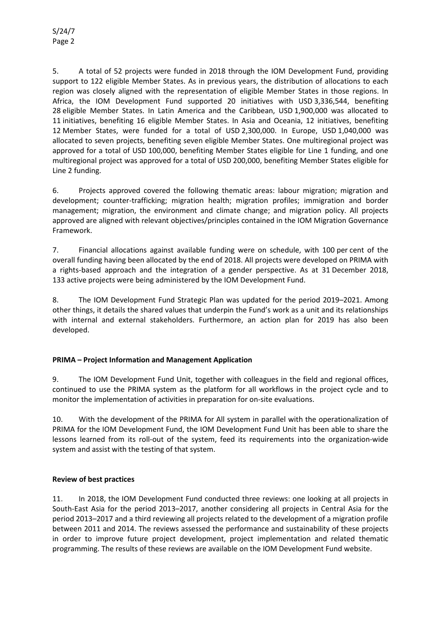5. A total of 52 projects were funded in 2018 through the IOM Development Fund, providing support to 122 eligible Member States. As in previous years, the distribution of allocations to each region was closely aligned with the representation of eligible Member States in those regions. In Africa, the IOM Development Fund supported 20 initiatives with USD 3,336,544, benefiting 28 eligible Member States. In Latin America and the Caribbean, USD 1,900,000 was allocated to 11 initiatives, benefiting 16 eligible Member States. In Asia and Oceania, 12 initiatives, benefiting 12 Member States, were funded for a total of USD 2,300,000. In Europe, USD 1,040,000 was allocated to seven projects, benefiting seven eligible Member States. One multiregional project was approved for a total of USD 100,000, benefiting Member States eligible for Line 1 funding, and one multiregional project was approved for a total of USD 200,000, benefiting Member States eligible for Line 2 funding.

6. Projects approved covered the following thematic areas: labour migration; migration and development; counter-trafficking; migration health; migration profiles; immigration and border management; migration, the environment and climate change; and migration policy. All projects approved are aligned with relevant objectives/principles contained in the IOM Migration Governance Framework.

7. Financial allocations against available funding were on schedule, with 100 per cent of the overall funding having been allocated by the end of 2018. All projects were developed on PRIMA with a rights-based approach and the integration of a gender perspective. As at 31 December 2018, 133 active projects were being administered by the IOM Development Fund.

8. The IOM Development Fund Strategic Plan was updated for the period 2019–2021. Among other things, it details the shared values that underpin the Fund's work as a unit and its relationships with internal and external stakeholders. Furthermore, an action plan for 2019 has also been developed.

### **PRIMA – Project Information and Management Application**

9. The IOM Development Fund Unit, together with colleagues in the field and regional offices, continued to use the PRIMA system as the platform for all workflows in the project cycle and to monitor the implementation of activities in preparation for on-site evaluations.

10. With the development of the PRIMA for All system in parallel with the operationalization of PRIMA for the IOM Development Fund, the IOM Development Fund Unit has been able to share the lessons learned from its roll-out of the system, feed its requirements into the organization-wide system and assist with the testing of that system.

### **Review of best practices**

11. In 2018, the IOM Development Fund conducted three reviews: one looking at all projects in South-East Asia for the period 2013–2017, another considering all projects in Central Asia for the period 2013–2017 and a third reviewing all projects related to the development of a migration profile between 2011 and 2014. The reviews assessed the performance and sustainability of these projects in order to improve future project development, project implementation and related thematic programming. The results of these reviews are available on the IOM Development Fund website.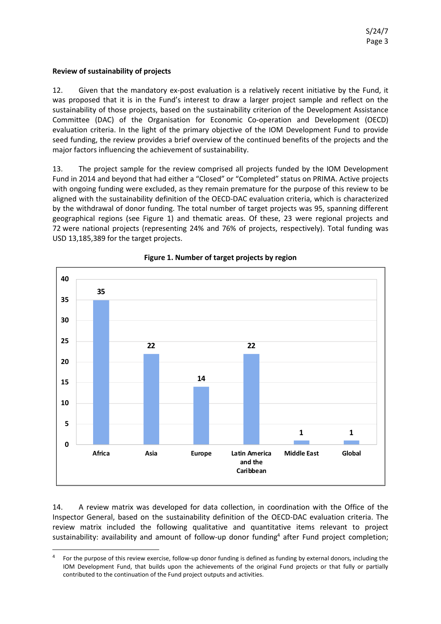### **Review of sustainability of projects**

12. Given that the mandatory ex-post evaluation is a relatively recent initiative by the Fund, it was proposed that it is in the Fund's interest to draw a larger project sample and reflect on the sustainability of those projects, based on the sustainability criterion of the Development Assistance Committee (DAC) of the Organisation for Economic Co-operation and Development (OECD) evaluation criteria. In the light of the primary objective of the IOM Development Fund to provide seed funding, the review provides a brief overview of the continued benefits of the projects and the major factors influencing the achievement of sustainability.

13. The project sample for the review comprised all projects funded by the IOM Development Fund in 2014 and beyond that had either a "Closed" or "Completed" status on PRIMA. Active projects with ongoing funding were excluded, as they remain premature for the purpose of this review to be aligned with the sustainability definition of the OECD-DAC evaluation criteria, which is characterized by the withdrawal of donor funding. The total number of target projects was 95, spanning different geographical regions (see Figure 1) and thematic areas. Of these, 23 were regional projects and 72 were national projects (representing 24% and 76% of projects, respectively). Total funding was USD 13,185,389 for the target projects.



**Figure 1. Number of target projects by region**

14. A review matrix was developed for data collection, in coordination with the Office of the Inspector General, based on the sustainability definition of the OECD-DAC evaluation criteria. The review matrix included the following qualitative and quantitative items relevant to project sustainability: availability and amount of follow-up donor funding<sup>4</sup> after Fund project completion;

 <sup>4</sup> For the purpose of this review exercise, follow-up donor funding is defined as funding by external donors, including the IOM Development Fund, that builds upon the achievements of the original Fund projects or that fully or partially contributed to the continuation of the Fund project outputs and activities.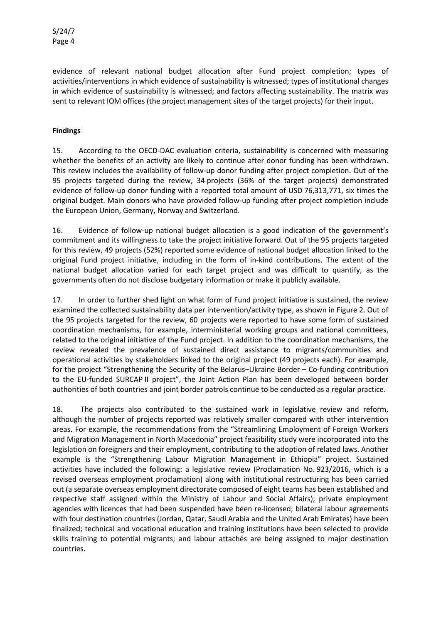evidence of relevant national budget allocation after Fund project completion; types of activities/interventions in which evidence of sustainability is witnessed; types of institutional changes in which evidence of sustainability is witnessed; and factors affecting sustainability. The matrix was sent to relevant IOM offices (the project management sites of the target projects) for their input.

### **Findings**

15. According to the OECD-DAC evaluation criteria, sustainability is concerned with measuring whether the benefits of an activity are likely to continue after donor funding has been withdrawn. This review includes the availability of follow-up donor funding after project completion. Out of the 95 projects targeted during the review, 34 projects (36% of the target projects) demonstrated evidence of follow-up donor funding with a reported total amount of USD 76,313,771, six times the original budget. Main donors who have provided follow-up funding after project completion include the European Union, Germany, Norway and Switzerland.

16. Evidence of follow-up national budget allocation is a good indication of the government's commitment and its willingness to take the project initiative forward. Out of the 95 projects targeted for this review, 49 projects (52%) reported some evidence of national budget allocation linked to the original Fund project initiative, including in the form of in-kind contributions. The extent of the national budget allocation varied for each target project and was difficult to quantify, as the governments often do not disclose budgetary information or make it publicly available.

17. In order to further shed light on what form of Fund project initiative is sustained, the review examined the collected sustainability data per intervention/activity type, as shown in Figure 2. Out of the 95 projects targeted for the review, 60 projects were reported to have some form of sustained coordination mechanisms, for example, interministerial working groups and national committees, related to the original initiative of the Fund project. In addition to the coordination mechanisms, the review revealed the prevalence of sustained direct assistance to migrants/communities and operational activities by stakeholders linked to the original project (49 projects each). For example, for the project "Strengthening the Security of the Belarus–Ukraine Border – Co-funding contribution to the EU-funded SURCAP II project", the Joint Action Plan has been developed between border authorities of both countries and joint border patrols continue to be conducted as a regular practice.

18. The projects also contributed to the sustained work in legislative review and reform, although the number of projects reported was relatively smaller compared with other intervention areas. For example, the recommendations from the "Streamlining Employment of Foreign Workers and Migration Management in North Macedonia" project feasibility study were incorporated into the legislation on foreigners and their employment, contributing to the adoption of related laws. Another example is the "Strengthening Labour Migration Management in Ethiopia" project. Sustained activities have included the following: a legislative review (Proclamation No. 923/2016, which is a revised overseas employment proclamation) along with institutional restructuring has been carried out (a separate overseas employment directorate composed of eight teams has been established and respective staff assigned within the Ministry of Labour and Social Affairs); private employment agencies with licences that had been suspended have been re-licensed; bilateral labour agreements with four destination countries (Jordan, Qatar, Saudi Arabia and the United Arab Emirates) have been finalized; technical and vocational education and training institutions have been selected to provide skills training to potential migrants; and labour attachés are being assigned to major destination countries.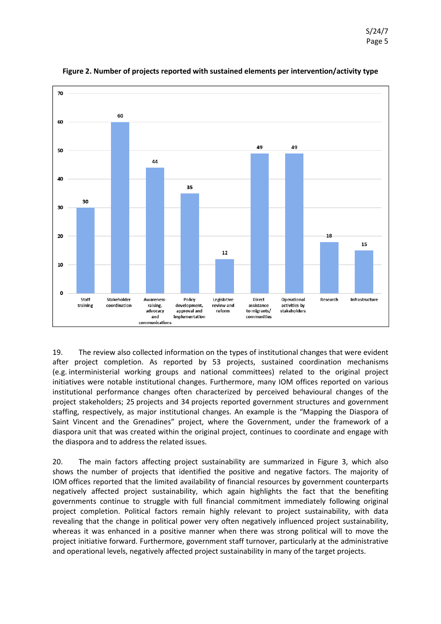

**Figure 2. Number of projects reported with sustained elements per intervention/activity type**

19. The review also collected information on the types of institutional changes that were evident after project completion. As reported by 53 projects, sustained coordination mechanisms (e.g. interministerial working groups and national committees) related to the original project initiatives were notable institutional changes. Furthermore, many IOM offices reported on various institutional performance changes often characterized by perceived behavioural changes of the project stakeholders; 25 projects and 34 projects reported government structures and government staffing, respectively, as major institutional changes. An example is the "Mapping the Diaspora of Saint Vincent and the Grenadines" project, where the Government, under the framework of a diaspora unit that was created within the original project, continues to coordinate and engage with the diaspora and to address the related issues.

20. The main factors affecting project sustainability are summarized in Figure 3, which also shows the number of projects that identified the positive and negative factors. The majority of IOM offices reported that the limited availability of financial resources by government counterparts negatively affected project sustainability, which again highlights the fact that the benefiting governments continue to struggle with full financial commitment immediately following original project completion. Political factors remain highly relevant to project sustainability, with data revealing that the change in political power very often negatively influenced project sustainability, whereas it was enhanced in a positive manner when there was strong political will to move the project initiative forward. Furthermore, government staff turnover, particularly at the administrative and operational levels, negatively affected project sustainability in many of the target projects.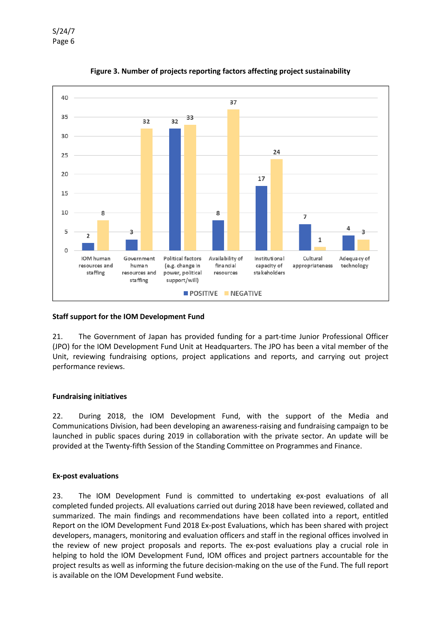

**Figure 3. Number of projects reporting factors affecting project sustainability**

#### **Staff support for the IOM Development Fund**

21. The Government of Japan has provided funding for a part-time Junior Professional Officer (JPO) for the IOM Development Fund Unit at Headquarters. The JPO has been a vital member of the Unit, reviewing fundraising options, project applications and reports, and carrying out project performance reviews.

#### **Fundraising initiatives**

22. During 2018, the IOM Development Fund, with the support of the Media and Communications Division, had been developing an awareness-raising and fundraising campaign to be launched in public spaces during 2019 in collaboration with the private sector. An update will be provided at the Twenty-fifth Session of the Standing Committee on Programmes and Finance.

#### **Ex-post evaluations**

23. The IOM Development Fund is committed to undertaking ex-post evaluations of all completed funded projects. All evaluations carried out during 2018 have been reviewed, collated and summarized. The main findings and recommendations have been collated into a report, entitled Report on the IOM Development Fund 2018 Ex-post Evaluations, which has been shared with project developers, managers, monitoring and evaluation officers and staff in the regional offices involved in the review of new project proposals and reports. The ex-post evaluations play a crucial role in helping to hold the IOM Development Fund, IOM offices and project partners accountable for the project results as well as informing the future decision-making on the use of the Fund. The full report is available on the IOM Development Fund website.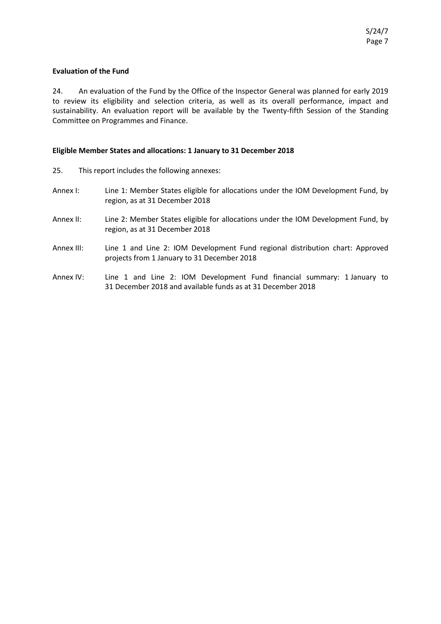#### **Evaluation of the Fund**

24. An evaluation of the Fund by the Office of the Inspector General was planned for early 2019 to review its eligibility and selection criteria, as well as its overall performance, impact and sustainability. An evaluation report will be available by the Twenty-fifth Session of the Standing Committee on Programmes and Finance.

#### **Eligible Member States and allocations: 1 January to 31 December 2018**

- 25. This report includes the following annexes:
- Annex I: Line 1: Member States eligible for allocations under the IOM Development Fund, by region, as at 31 December 2018
- Annex II: Line 2: Member States eligible for allocations under the IOM Development Fund, by region, as at 31 December 2018
- Annex III: Line 1 and Line 2: IOM Development Fund regional distribution chart: Approved projects from 1 January to 31 December 2018
- Annex IV: Line 1 and Line 2: IOM Development Fund financial summary: 1 January to 31 December 2018 and available funds as at 31 December 2018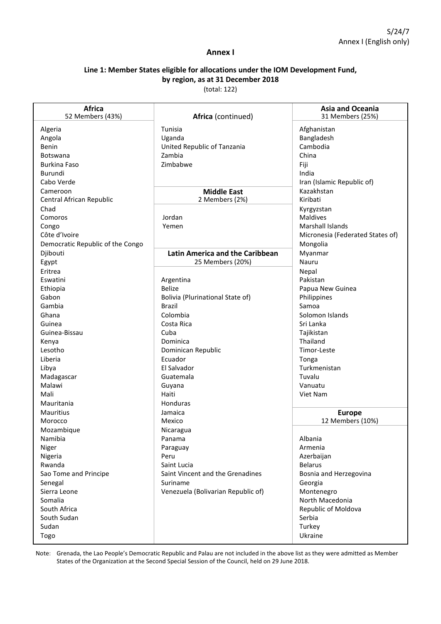### S/24/7 Annex I (English only)

#### **Annex I**

### **Line 1: Member States eligible for allocations under the IOM Development Fund, by region, as at 31 December 2018**

(total: 122)

| <b>Africa</b><br>52 Members (43%) | Africa (continued)                     | <b>Asia and Oceania</b><br>31 Members (25%) |
|-----------------------------------|----------------------------------------|---------------------------------------------|
| Algeria                           | Tunisia                                | Afghanistan                                 |
| Angola                            | Uganda                                 | Bangladesh                                  |
| Benin                             | United Republic of Tanzania            | Cambodia                                    |
| <b>Botswana</b>                   | Zambia                                 | China                                       |
| <b>Burkina Faso</b>               | Zimbabwe                               | Fiji                                        |
| Burundi                           |                                        | India                                       |
| Cabo Verde                        |                                        | Iran (Islamic Republic of)                  |
| Cameroon                          | <b>Middle East</b>                     | Kazakhstan                                  |
| Central African Republic          | 2 Members (2%)                         | Kiribati                                    |
| Chad                              |                                        | Kyrgyzstan                                  |
| Comoros                           | Jordan                                 | Maldives                                    |
| Congo                             | Yemen                                  | <b>Marshall Islands</b>                     |
| Côte d'Ivoire                     |                                        | Micronesia (Federated States of)            |
| Democratic Republic of the Congo  |                                        | Mongolia                                    |
| Djibouti                          | <b>Latin America and the Caribbean</b> | Myanmar                                     |
| Egypt                             | 25 Members (20%)                       | Nauru                                       |
| Eritrea                           |                                        | Nepal                                       |
| Eswatini                          | Argentina                              | Pakistan                                    |
| Ethiopia                          | <b>Belize</b>                          | Papua New Guinea                            |
| Gabon                             | Bolivia (Plurinational State of)       | Philippines                                 |
| Gambia                            | <b>Brazil</b>                          | Samoa                                       |
| Ghana                             | Colombia                               | Solomon Islands                             |
| Guinea                            | Costa Rica                             | Sri Lanka                                   |
| Guinea-Bissau                     | Cuba                                   | Tajikistan                                  |
| Kenya                             | Dominica                               | Thailand                                    |
| Lesotho                           | Dominican Republic                     | Timor-Leste                                 |
| Liberia                           | Ecuador                                | Tonga                                       |
| Libya                             | El Salvador                            | Turkmenistan                                |
| Madagascar                        | Guatemala                              | Tuvalu                                      |
| Malawi                            | Guyana                                 | Vanuatu                                     |
| Mali                              | Haiti                                  | Viet Nam                                    |
| Mauritania                        | Honduras                               |                                             |
| Mauritius                         | Jamaica                                | <b>Europe</b>                               |
| Morocco                           | Mexico                                 | 12 Members (10%)                            |
| Mozambique                        | Nicaragua                              |                                             |
| Namibia                           | Panama                                 | Albania                                     |
| Niger                             | Paraguay                               | Armenia                                     |
| Nigeria                           | Peru                                   | Azerbaijan                                  |
| Rwanda                            | Saint Lucia                            | <b>Belarus</b>                              |
| Sao Tome and Principe             | Saint Vincent and the Grenadines       | Bosnia and Herzegovina                      |
| Senegal                           | Suriname                               | Georgia                                     |
| Sierra Leone                      | Venezuela (Bolivarian Republic of)     | Montenegro                                  |
| Somalia                           |                                        | North Macedonia                             |
| South Africa                      |                                        | Republic of Moldova                         |
| South Sudan                       |                                        | Serbia                                      |
| Sudan                             |                                        | Turkey                                      |
| Togo                              |                                        | Ukraine                                     |

Note: Grenada, the Lao People's Democratic Republic and Palau are not included in the above list as they were admitted as Member States of the Organization at the Second Special Session of the Council, held on 29 June 2018.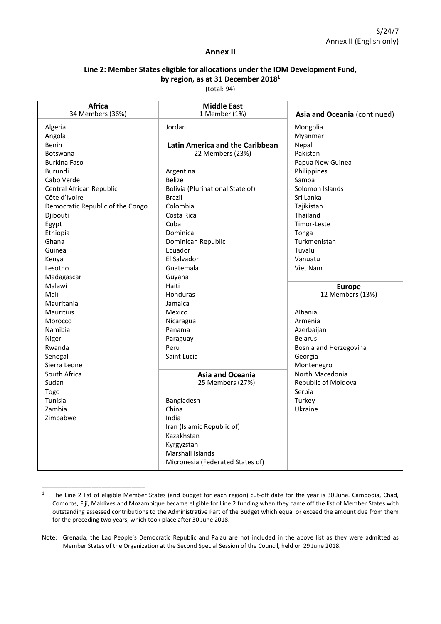#### **Annex II**

## **Line 2: Member States eligible for allocations under the IOM Development Fund, by region, as at 31 December 20181**

(total: 94)

| <b>Africa</b><br>34 Members (36%) | <b>Middle East</b><br>1 Member (1%) | Asia and Oceania (continued) |
|-----------------------------------|-------------------------------------|------------------------------|
| Algeria                           | Jordan                              | Mongolia                     |
| Angola                            |                                     | Myanmar                      |
| Benin                             | Latin America and the Caribbean     | Nepal                        |
| <b>Botswana</b>                   | 22 Members (23%)                    | Pakistan                     |
| <b>Burkina Faso</b>               |                                     | Papua New Guinea             |
| Burundi                           | Argentina                           | Philippines                  |
| Cabo Verde                        | <b>Belize</b>                       | Samoa                        |
| Central African Republic          | Bolivia (Plurinational State of)    | Solomon Islands              |
| Côte d'Ivoire                     | Brazil                              | Sri Lanka                    |
| Democratic Republic of the Congo  | Colombia                            | Tajikistan                   |
| Djibouti                          | Costa Rica                          | Thailand                     |
| Egypt                             | Cuba                                | Timor-Leste                  |
| Ethiopia                          | Dominica                            | Tonga                        |
| Ghana                             | Dominican Republic                  | Turkmenistan                 |
| Guinea                            | Ecuador                             | Tuvalu                       |
| Kenya                             | El Salvador                         | Vanuatu                      |
| Lesotho                           | Guatemala                           | Viet Nam                     |
| Madagascar                        | Guyana                              |                              |
| Malawi                            | Haiti                               | <b>Europe</b>                |
| Mali                              | Honduras                            | 12 Members (13%)             |
| Mauritania                        | Jamaica                             |                              |
| <b>Mauritius</b>                  | Mexico                              | Albania                      |
| Morocco                           | Nicaragua                           | Armenia                      |
| Namibia                           | Panama                              | Azerbaijan                   |
| Niger                             | Paraguay                            | <b>Belarus</b>               |
| Rwanda                            | Peru                                | Bosnia and Herzegovina       |
| Senegal                           | Saint Lucia                         | Georgia                      |
| Sierra Leone                      |                                     | Montenegro                   |
| South Africa                      | <b>Asia and Oceania</b>             | North Macedonia              |
| Sudan                             | 25 Members (27%)                    | Republic of Moldova          |
| Togo                              |                                     | Serbia                       |
| Tunisia                           | Bangladesh                          | Turkey                       |
| Zambia                            | China                               | Ukraine                      |
| Zimbabwe                          | India                               |                              |
|                                   | Iran (Islamic Republic of)          |                              |
|                                   | Kazakhstan                          |                              |
|                                   | Kyrgyzstan                          |                              |
|                                   | Marshall Islands                    |                              |
|                                   | Micronesia (Federated States of)    |                              |
|                                   |                                     |                              |

<sup>&</sup>lt;sup>1</sup> The Line 2 list of eligible Member States (and budget for each region) cut-off date for the year is 30 June. Cambodia, Chad, Comoros, Fiji, Maldives and Mozambique became eligible for Line 2 funding when they came off the list of Member States with outstanding assessed contributions to the Administrative Part of the Budget which equal or exceed the amount due from them for the preceding two years, which took place after 30 June 2018.

\_\_\_\_\_\_\_\_\_\_\_\_\_\_\_\_\_\_\_\_\_\_\_\_\_\_\_\_\_\_\_

Note: Grenada, the Lao People's Democratic Republic and Palau are not included in the above list as they were admitted as Member States of the Organization at the Second Special Session of the Council, held on 29 June 2018.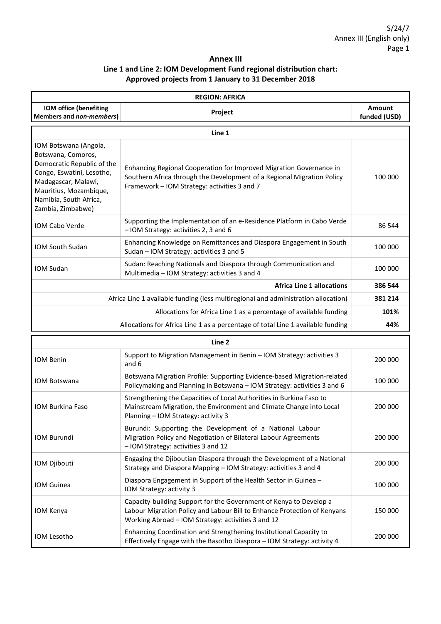## **Annex III Line 1 and Line 2: IOM Development Fund regional distribution chart: Approved projects from 1 January to 31 December 2018**

| <b>REGION: AFRICA</b>                                                                                                                                                                                  |                                                                                                                                                                                               |                        |
|--------------------------------------------------------------------------------------------------------------------------------------------------------------------------------------------------------|-----------------------------------------------------------------------------------------------------------------------------------------------------------------------------------------------|------------------------|
| IOM office (benefiting<br>Members and non-members)                                                                                                                                                     | Project                                                                                                                                                                                       | Amount<br>funded (USD) |
|                                                                                                                                                                                                        | Line 1                                                                                                                                                                                        |                        |
| IOM Botswana (Angola,<br>Botswana, Comoros,<br>Democratic Republic of the<br>Congo, Eswatini, Lesotho,<br>Madagascar, Malawi,<br>Mauritius, Mozambique,<br>Namibia, South Africa,<br>Zambia, Zimbabwe) | Enhancing Regional Cooperation for Improved Migration Governance in<br>Southern Africa through the Development of a Regional Migration Policy<br>Framework – IOM Strategy: activities 3 and 7 | 100 000                |
| <b>IOM Cabo Verde</b>                                                                                                                                                                                  | Supporting the Implementation of an e-Residence Platform in Cabo Verde<br>- IOM Strategy: activities 2, 3 and 6                                                                               | 86 544                 |
| <b>IOM South Sudan</b>                                                                                                                                                                                 | Enhancing Knowledge on Remittances and Diaspora Engagement in South<br>Sudan – IOM Strategy: activities 3 and 5                                                                               | 100 000                |
| IOM Sudan                                                                                                                                                                                              | Sudan: Reaching Nationals and Diaspora through Communication and<br>Multimedia - IOM Strategy: activities 3 and 4                                                                             | 100 000                |
|                                                                                                                                                                                                        | <b>Africa Line 1 allocations</b>                                                                                                                                                              | 386 544                |
| Africa Line 1 available funding (less multiregional and administration allocation)                                                                                                                     |                                                                                                                                                                                               | 381 214                |
| Allocations for Africa Line 1 as a percentage of available funding                                                                                                                                     |                                                                                                                                                                                               | 101%                   |
|                                                                                                                                                                                                        | Allocations for Africa Line 1 as a percentage of total Line 1 available funding                                                                                                               | 44%                    |

| Line 2              |                                                                                                                                                                                                      |         |
|---------------------|------------------------------------------------------------------------------------------------------------------------------------------------------------------------------------------------------|---------|
| <b>IOM Benin</b>    | Support to Migration Management in Benin - IOM Strategy: activities 3<br>and 6                                                                                                                       | 200 000 |
| <b>IOM Botswana</b> | Botswana Migration Profile: Supporting Evidence-based Migration-related<br>Policymaking and Planning in Botswana – IOM Strategy: activities 3 and 6                                                  | 100 000 |
| IOM Burkina Faso    | Strengthening the Capacities of Local Authorities in Burkina Faso to<br>Mainstream Migration, the Environment and Climate Change into Local<br>Planning - IOM Strategy: activity 3                   | 200 000 |
| <b>IOM Burundi</b>  | Burundi: Supporting the Development of a National Labour<br>Migration Policy and Negotiation of Bilateral Labour Agreements<br>- IOM Strategy: activities 3 and 12                                   | 200 000 |
| IOM Djibouti        | Engaging the Djiboutian Diaspora through the Development of a National<br>Strategy and Diaspora Mapping – IOM Strategy: activities 3 and 4                                                           | 200 000 |
| <b>IOM Guinea</b>   | Diaspora Engagement in Support of the Health Sector in Guinea -<br>IOM Strategy: activity 3                                                                                                          | 100 000 |
| IOM Kenya           | Capacity-building Support for the Government of Kenya to Develop a<br>Labour Migration Policy and Labour Bill to Enhance Protection of Kenyans<br>Working Abroad - IOM Strategy: activities 3 and 12 | 150 000 |
| IOM Lesotho         | Enhancing Coordination and Strengthening Institutional Capacity to<br>Effectively Engage with the Basotho Diaspora - IOM Strategy: activity 4                                                        | 200 000 |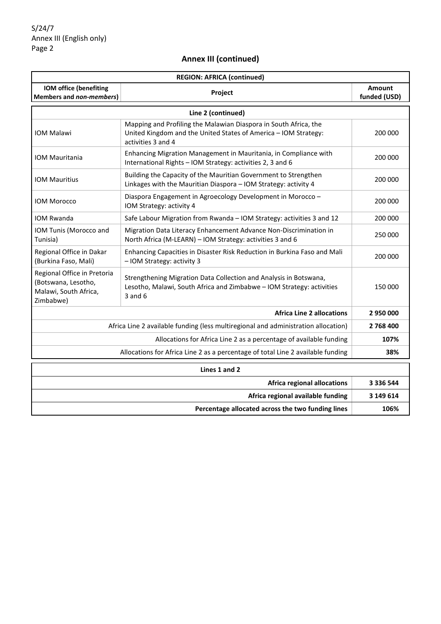| <b>REGION: AFRICA (continued)</b>                         |                                                                  |                        |
|-----------------------------------------------------------|------------------------------------------------------------------|------------------------|
| <b>IOM office (benefiting</b><br>Members and non-members) | <b>Project</b>                                                   | Amount<br>funded (USD) |
|                                                           | Line 2 (continued)                                               |                        |
|                                                           | Mapping and Profiling the Malawian Diaspora in South Africa, the |                        |

| <b>IOM Malawi</b>                                                                        | United Kingdom and the United States of America - IOM Strategy:<br>activities 3 and 4                                                                     | 200 000 |
|------------------------------------------------------------------------------------------|-----------------------------------------------------------------------------------------------------------------------------------------------------------|---------|
| <b>IOM Mauritania</b>                                                                    | Enhancing Migration Management in Mauritania, in Compliance with<br>International Rights - IOM Strategy: activities 2, 3 and 6                            | 200 000 |
| <b>IOM Mauritius</b>                                                                     | Building the Capacity of the Mauritian Government to Strengthen<br>Linkages with the Mauritian Diaspora - IOM Strategy: activity 4                        | 200 000 |
| <b>IOM Morocco</b>                                                                       | Diaspora Engagement in Agroecology Development in Morocco -<br>IOM Strategy: activity 4                                                                   | 200 000 |
| <b>IOM Rwanda</b>                                                                        | Safe Labour Migration from Rwanda - IOM Strategy: activities 3 and 12                                                                                     | 200 000 |
| IOM Tunis (Morocco and<br>Tunisia)                                                       | Migration Data Literacy Enhancement Advance Non-Discrimination in<br>North Africa (M-LEARN) - IOM Strategy: activities 3 and 6                            | 250 000 |
| Regional Office in Dakar<br>(Burkina Faso, Mali)                                         | Enhancing Capacities in Disaster Risk Reduction in Burkina Faso and Mali<br>- IOM Strategy: activity 3                                                    | 200 000 |
| Regional Office in Pretoria<br>(Botswana, Lesotho,<br>Malawi, South Africa,<br>Zimbabwe) | Strengthening Migration Data Collection and Analysis in Botswana,<br>Lesotho, Malawi, South Africa and Zimbabwe - IOM Strategy: activities<br>$3$ and $6$ | 150 000 |
|                                                                                          | <b>Africa Line 2 allocations</b>                                                                                                                          | 2950000 |
| Africa Line 2 available funding (less multiregional and administration allocation)       |                                                                                                                                                           | 2768400 |
| Allocations for Africa Line 2 as a percentage of available funding                       |                                                                                                                                                           | 107%    |
|                                                                                          | Allocations for Africa Line 2 as a percentage of total Line 2 available funding                                                                           | 38%     |
|                                                                                          |                                                                                                                                                           |         |

| Lines 1 and 2                                     |           |  |
|---------------------------------------------------|-----------|--|
| Africa regional allocations                       | 3 336 544 |  |
| Africa regional available funding                 | 3 149 614 |  |
| Percentage allocated across the two funding lines | 106%      |  |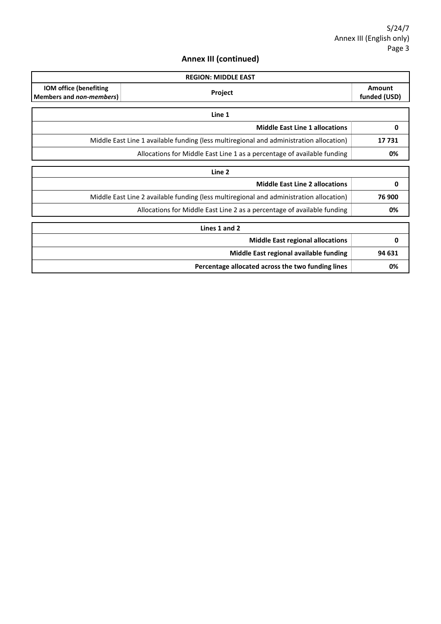|                                                    | <b>REGION: MIDDLE EAST</b>                                                              |                        |  |
|----------------------------------------------------|-----------------------------------------------------------------------------------------|------------------------|--|
| IOM office (benefiting<br>Members and non-members) | Project                                                                                 | Amount<br>funded (USD) |  |
|                                                    | Line 1                                                                                  |                        |  |
|                                                    | <b>Middle East Line 1 allocations</b>                                                   | 0                      |  |
|                                                    | Middle East Line 1 available funding (less multiregional and administration allocation) | 17731                  |  |
|                                                    | Allocations for Middle East Line 1 as a percentage of available funding                 | 0%                     |  |
|                                                    | Line 2                                                                                  |                        |  |
|                                                    | <b>Middle East Line 2 allocations</b>                                                   | 0                      |  |
|                                                    | Middle East Line 2 available funding (less multiregional and administration allocation) | 76 900                 |  |
|                                                    | Allocations for Middle East Line 2 as a percentage of available funding                 | 0%                     |  |
|                                                    | Lines 1 and 2                                                                           |                        |  |
|                                                    | <b>Middle East regional allocations</b>                                                 | 0                      |  |
|                                                    | Middle East regional available funding                                                  | 94 631                 |  |
|                                                    | Percentage allocated across the two funding lines                                       | 0%                     |  |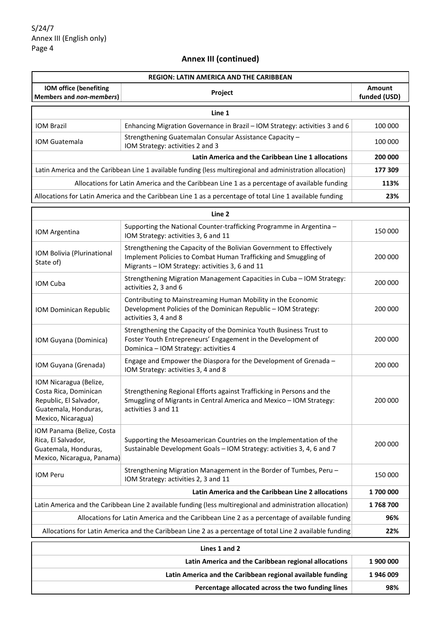| <b>REGION: LATIN AMERICA AND THE CARIBBEAN</b>                                                                          |                                                                                                                                                                                            |                        |  |
|-------------------------------------------------------------------------------------------------------------------------|--------------------------------------------------------------------------------------------------------------------------------------------------------------------------------------------|------------------------|--|
| IOM office (benefiting<br>Members and non-members)                                                                      | Project                                                                                                                                                                                    | Amount<br>funded (USD) |  |
|                                                                                                                         | Line 1                                                                                                                                                                                     |                        |  |
| <b>IOM Brazil</b>                                                                                                       | Enhancing Migration Governance in Brazil - IOM Strategy: activities 3 and 6                                                                                                                | 100 000                |  |
| <b>IOM Guatemala</b>                                                                                                    | Strengthening Guatemalan Consular Assistance Capacity -<br>IOM Strategy: activities 2 and 3                                                                                                | 100 000                |  |
|                                                                                                                         | Latin America and the Caribbean Line 1 allocations                                                                                                                                         | 200 000                |  |
|                                                                                                                         | Latin America and the Caribbean Line 1 available funding (less multiregional and administration allocation)                                                                                | 177 309                |  |
|                                                                                                                         | Allocations for Latin America and the Caribbean Line 1 as a percentage of available funding                                                                                                | 113%                   |  |
|                                                                                                                         | Allocations for Latin America and the Caribbean Line 1 as a percentage of total Line 1 available funding                                                                                   | 23%                    |  |
|                                                                                                                         | Line 2                                                                                                                                                                                     |                        |  |
| IOM Argentina                                                                                                           | Supporting the National Counter-trafficking Programme in Argentina -<br>IOM Strategy: activities 3, 6 and 11                                                                               | 150 000                |  |
| IOM Bolivia (Plurinational<br>State of)                                                                                 | Strengthening the Capacity of the Bolivian Government to Effectively<br>Implement Policies to Combat Human Trafficking and Smuggling of<br>Migrants - IOM Strategy: activities 3, 6 and 11 | 200 000                |  |
| IOM Cuba                                                                                                                | Strengthening Migration Management Capacities in Cuba - IOM Strategy:<br>activities 2, 3 and 6                                                                                             | 200 000                |  |
| IOM Dominican Republic                                                                                                  | Contributing to Mainstreaming Human Mobility in the Economic<br>Development Policies of the Dominican Republic - IOM Strategy:<br>activities 3, 4 and 8                                    | 200 000                |  |
| IOM Guyana (Dominica)                                                                                                   | Strengthening the Capacity of the Dominica Youth Business Trust to<br>Foster Youth Entrepreneurs' Engagement in the Development of<br>Dominica - IOM Strategy: activities 4                | 200 000                |  |
| IOM Guyana (Grenada)                                                                                                    | Engage and Empower the Diaspora for the Development of Grenada -<br>IOM Strategy: activities 3, 4 and 8                                                                                    | 200 000                |  |
| IOM Nicaragua (Belize,<br>Costa Rica, Dominican<br>Republic, El Salvador,<br>Guatemala, Honduras,<br>Mexico, Nicaragua) | Strengthening Regional Efforts against Trafficking in Persons and the<br>Smuggling of Migrants in Central America and Mexico - IOM Strategy:<br>activities 3 and 11                        | 200 000                |  |
| IOM Panama (Belize, Costa<br>Rica, El Salvador,<br>Guatemala, Honduras,<br>Mexico, Nicaragua, Panama)                   | Supporting the Mesoamerican Countries on the Implementation of the<br>Sustainable Development Goals - IOM Strategy: activities 3, 4, 6 and 7                                               | 200 000                |  |
| IOM Peru                                                                                                                | Strengthening Migration Management in the Border of Tumbes, Peru -<br>IOM Strategy: activities 2, 3 and 11                                                                                 | 150 000                |  |
|                                                                                                                         | Latin America and the Caribbean Line 2 allocations                                                                                                                                         | 1700000                |  |
|                                                                                                                         | Latin America and the Caribbean Line 2 available funding (less multiregional and administration allocation)                                                                                | 1768700                |  |
|                                                                                                                         | Allocations for Latin America and the Caribbean Line 2 as a percentage of available funding                                                                                                | 96%                    |  |
|                                                                                                                         | Allocations for Latin America and the Caribbean Line 2 as a percentage of total Line 2 available funding<br>22%                                                                            |                        |  |
| Lines 1 and 2                                                                                                           |                                                                                                                                                                                            |                        |  |
| Latin America and the Caribbean regional allocations<br>1900000                                                         |                                                                                                                                                                                            |                        |  |
|                                                                                                                         | Latin America and the Caribbean regional available funding                                                                                                                                 | 1946009                |  |

**Percentage allocated across the two funding lines** | 98%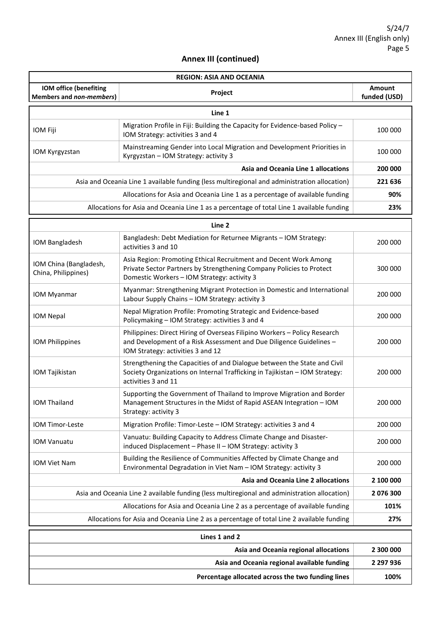| <b>REGION: ASIA AND OCEANIA</b>                                                           |                                                                                                                                                                                         |                        |
|-------------------------------------------------------------------------------------------|-----------------------------------------------------------------------------------------------------------------------------------------------------------------------------------------|------------------------|
| IOM office (benefiting<br>Members and non-members)                                        | Project                                                                                                                                                                                 | Amount<br>funded (USD) |
|                                                                                           | Line 1                                                                                                                                                                                  |                        |
| IOM Fiji                                                                                  | Migration Profile in Fiji: Building the Capacity for Evidence-based Policy -<br>IOM Strategy: activities 3 and 4                                                                        | 100 000                |
| IOM Kyrgyzstan                                                                            | Mainstreaming Gender into Local Migration and Development Priorities in<br>Kyrgyzstan - IOM Strategy: activity 3                                                                        | 100 000                |
|                                                                                           | Asia and Oceania Line 1 allocations                                                                                                                                                     | 200 000                |
|                                                                                           | Asia and Oceania Line 1 available funding (less multiregional and administration allocation)                                                                                            | 221 636                |
|                                                                                           | Allocations for Asia and Oceania Line 1 as a percentage of available funding                                                                                                            | 90%                    |
|                                                                                           | Allocations for Asia and Oceania Line 1 as a percentage of total Line 1 available funding                                                                                               | 23%                    |
|                                                                                           | Line 2                                                                                                                                                                                  |                        |
| IOM Bangladesh                                                                            | Bangladesh: Debt Mediation for Returnee Migrants - IOM Strategy:<br>activities 3 and 10                                                                                                 | 200 000                |
| IOM China (Bangladesh,<br>China, Philippines)                                             | Asia Region: Promoting Ethical Recruitment and Decent Work Among<br>Private Sector Partners by Strengthening Company Policies to Protect<br>Domestic Workers - IOM Strategy: activity 3 | 300 000                |
| IOM Myanmar                                                                               | Myanmar: Strengthening Migrant Protection in Domestic and International<br>Labour Supply Chains - IOM Strategy: activity 3                                                              | 200 000                |
| IOM Nepal                                                                                 | Nepal Migration Profile: Promoting Strategic and Evidence-based<br>Policymaking - IOM Strategy: activities 3 and 4                                                                      | 200 000                |
| IOM Philippines                                                                           | Philippines: Direct Hiring of Overseas Filipino Workers - Policy Research<br>and Development of a Risk Assessment and Due Diligence Guidelines -<br>IOM Strategy: activities 3 and 12   | 200 000                |
| IOM Tajikistan                                                                            | Strengthening the Capacities of and Dialogue between the State and Civil<br>Society Organizations on Internal Trafficking in Tajikistan - IOM Strategy:<br>activities 3 and 11          | 200 000                |
| <b>IOM Thailand</b>                                                                       | Supporting the Government of Thailand to Improve Migration and Border<br>Management Structures in the Midst of Rapid ASEAN Integration - IOM<br>Strategy: activity 3                    | 200 000                |
| IOM Timor-Leste                                                                           | Migration Profile: Timor-Leste - IOM Strategy: activities 3 and 4                                                                                                                       | 200 000                |
| <b>IOM Vanuatu</b>                                                                        | Vanuatu: Building Capacity to Address Climate Change and Disaster-<br>induced Displacement - Phase II - IOM Strategy: activity 3                                                        | 200 000                |
| IOM Viet Nam                                                                              | Building the Resilience of Communities Affected by Climate Change and<br>Environmental Degradation in Viet Nam - IOM Strategy: activity 3                                               | 200 000                |
|                                                                                           | Asia and Oceania Line 2 allocations                                                                                                                                                     | 2 100 000              |
|                                                                                           | Asia and Oceania Line 2 available funding (less multiregional and administration allocation)                                                                                            | 2076300                |
| Allocations for Asia and Oceania Line 2 as a percentage of available funding              |                                                                                                                                                                                         | 101%                   |
| Allocations for Asia and Oceania Line 2 as a percentage of total Line 2 available funding |                                                                                                                                                                                         | 27%                    |
|                                                                                           | Lines 1 and 2                                                                                                                                                                           |                        |
|                                                                                           | Asia and Oceania regional allocations                                                                                                                                                   | 2 300 000              |
| Asia and Oceania regional available funding                                               |                                                                                                                                                                                         | 2 297 936              |
|                                                                                           | Percentage allocated across the two funding lines                                                                                                                                       | 100%                   |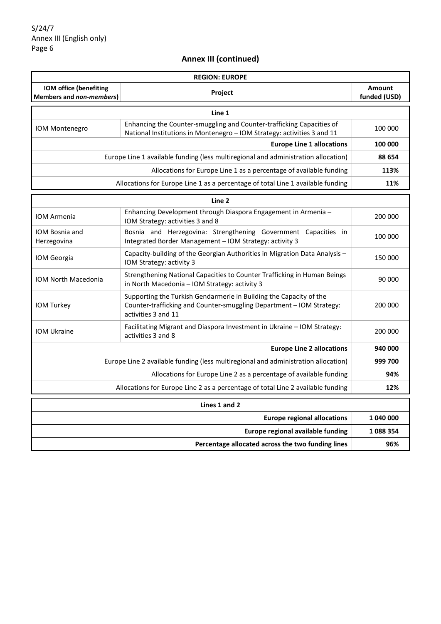| <b>REGION: EUROPE</b>                                                              |                                                                                                                                                                   |                               |
|------------------------------------------------------------------------------------|-------------------------------------------------------------------------------------------------------------------------------------------------------------------|-------------------------------|
| <b>IOM office (benefiting</b><br>Members and non-members)                          | Project                                                                                                                                                           | <b>Amount</b><br>funded (USD) |
|                                                                                    | Line 1                                                                                                                                                            |                               |
| <b>IOM Montenegro</b>                                                              | Enhancing the Counter-smuggling and Counter-trafficking Capacities of<br>National Institutions in Montenegro - IOM Strategy: activities 3 and 11                  | 100 000                       |
|                                                                                    | <b>Europe Line 1 allocations</b>                                                                                                                                  | 100 000                       |
|                                                                                    | Europe Line 1 available funding (less multiregional and administration allocation)                                                                                | 88 654                        |
|                                                                                    | Allocations for Europe Line 1 as a percentage of available funding                                                                                                | 113%                          |
|                                                                                    | Allocations for Europe Line 1 as a percentage of total Line 1 available funding                                                                                   | 11%                           |
|                                                                                    | Line 2                                                                                                                                                            |                               |
| <b>IOM Armenia</b>                                                                 | Enhancing Development through Diaspora Engagement in Armenia -<br>IOM Strategy: activities 3 and 8                                                                | 200 000                       |
| IOM Bosnia and<br>Herzegovina                                                      | Bosnia and Herzegovina: Strengthening Government Capacities in<br>Integrated Border Management - IOM Strategy: activity 3                                         | 100 000                       |
| IOM Georgia                                                                        | Capacity-building of the Georgian Authorities in Migration Data Analysis -<br>IOM Strategy: activity 3                                                            | 150 000                       |
| <b>IOM North Macedonia</b>                                                         | Strengthening National Capacities to Counter Trafficking in Human Beings<br>in North Macedonia - IOM Strategy: activity 3                                         | 90 000                        |
| IOM Turkey                                                                         | Supporting the Turkish Gendarmerie in Building the Capacity of the<br>Counter-trafficking and Counter-smuggling Department - IOM Strategy:<br>activities 3 and 11 | 200 000                       |
| <b>IOM Ukraine</b>                                                                 | Facilitating Migrant and Diaspora Investment in Ukraine – IOM Strategy:<br>activities 3 and 8                                                                     | 200 000                       |
|                                                                                    | <b>Europe Line 2 allocations</b>                                                                                                                                  | 940 000                       |
| Europe Line 2 available funding (less multiregional and administration allocation) |                                                                                                                                                                   | 999 700                       |
| Allocations for Europe Line 2 as a percentage of available funding                 |                                                                                                                                                                   | 94%                           |
| Allocations for Europe Line 2 as a percentage of total Line 2 available funding    |                                                                                                                                                                   | 12%                           |
|                                                                                    | Lines 1 and 2                                                                                                                                                     |                               |
|                                                                                    | <b>Europe regional allocations</b>                                                                                                                                | 1 040 000                     |
|                                                                                    | Europe regional available funding                                                                                                                                 | 1088354                       |
|                                                                                    | Percentage allocated across the two funding lines<br>96%                                                                                                          |                               |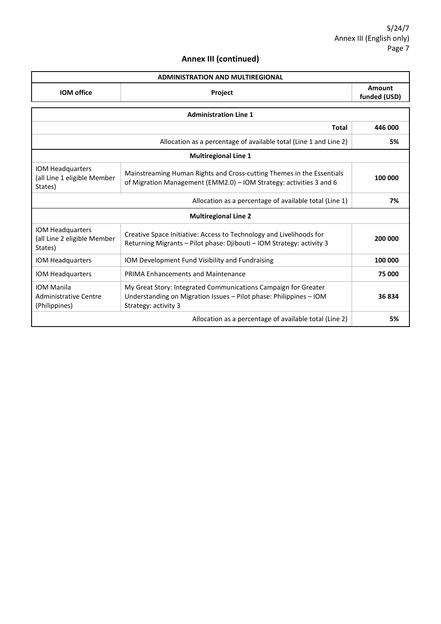| <b>ADMINISTRATION AND MULTIREGIONAL</b> |         |                        |
|-----------------------------------------|---------|------------------------|
| <b>IOM</b> office                       | Project | Amount<br>funded (USD) |

| <b>Administration Line 1</b>                                       |                                                                                                                                                              |         |  |  |
|--------------------------------------------------------------------|--------------------------------------------------------------------------------------------------------------------------------------------------------------|---------|--|--|
|                                                                    | Total                                                                                                                                                        | 446 000 |  |  |
| Allocation as a percentage of available total (Line 1 and Line 2)  |                                                                                                                                                              | 5%      |  |  |
| <b>Multiregional Line 1</b>                                        |                                                                                                                                                              |         |  |  |
| IOM Headquarters<br>(all Line 1 eligible Member<br>States)         | Mainstreaming Human Rights and Cross-cutting Themes in the Essentials<br>of Migration Management (EMM2.0) - IOM Strategy: activities 3 and 6                 | 100 000 |  |  |
|                                                                    | Allocation as a percentage of available total (Line 1)                                                                                                       | 7%      |  |  |
| <b>Multiregional Line 2</b>                                        |                                                                                                                                                              |         |  |  |
| IOM Headquarters<br>(all Line 2 eligible Member<br>States)         | Creative Space Initiative: Access to Technology and Livelihoods for<br>Returning Migrants - Pilot phase: Djibouti - IOM Strategy: activity 3                 | 200 000 |  |  |
| IOM Headquarters                                                   | IOM Development Fund Visibility and Fundraising                                                                                                              | 100 000 |  |  |
| <b>IOM Headquarters</b>                                            | <b>PRIMA Enhancements and Maintenance</b>                                                                                                                    | 75 000  |  |  |
| <b>IOM Manila</b><br><b>Administrative Centre</b><br>(Philippines) | My Great Story: Integrated Communications Campaign for Greater<br>Understanding on Migration Issues - Pilot phase: Philippines - IOM<br>Strategy: activity 3 | 36834   |  |  |
|                                                                    | Allocation as a percentage of available total (Line 2)                                                                                                       | 5%      |  |  |